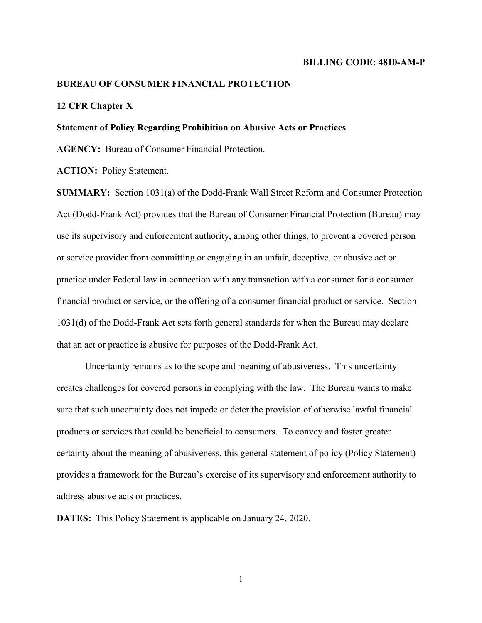#### **BILLING CODE: 4810-AM-P**

### **BUREAU OF CONSUMER FINANCIAL PROTECTION**

## **12 CFR Chapter X**

#### **Statement of Policy Regarding Prohibition on Abusive Acts or Practices**

**AGENCY:** Bureau of Consumer Financial Protection.

**ACTION:** Policy Statement.

**SUMMARY:** Section 1031(a) of the Dodd-Frank Wall Street Reform and Consumer Protection Act (Dodd-Frank Act) provides that the Bureau of Consumer Financial Protection (Bureau) may use its supervisory and enforcement authority, among other things, to prevent a covered person or service provider from committing or engaging in an unfair, deceptive, or abusive act or practice under Federal law in connection with any transaction with a consumer for a consumer financial product or service, or the offering of a consumer financial product or service. Section 1031(d) of the Dodd-Frank Act sets forth general standards for when the Bureau may declare that an act or practice is abusive for purposes of the Dodd-Frank Act.

Uncertainty remains as to the scope and meaning of abusiveness. This uncertainty creates challenges for covered persons in complying with the law. The Bureau wants to make sure that such uncertainty does not impede or deter the provision of otherwise lawful financial products or services that could be beneficial to consumers. To convey and foster greater certainty about the meaning of abusiveness, this general statement of policy (Policy Statement) provides a framework for the Bureau's exercise of its supervisory and enforcement authority to address abusive acts or practices.

**DATES:** This Policy Statement is applicable on January 24, 2020.

1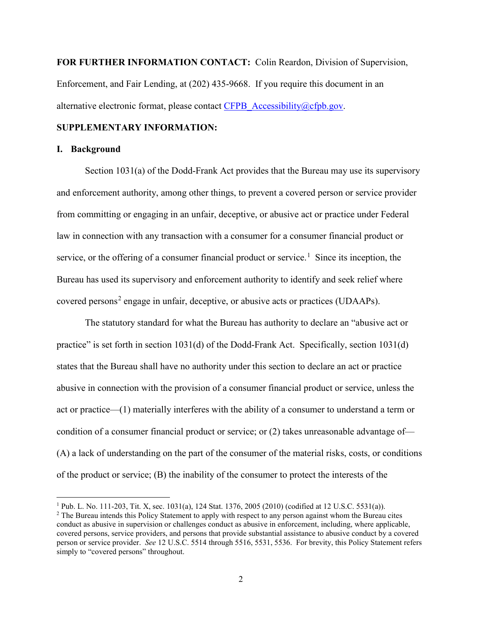**FOR FURTHER INFORMATION CONTACT:** Colin Reardon, Division of Supervision, Enforcement, and Fair Lending, at (202) 435-9668. If you require this document in an alternative electronic format, please contact [CFPB\\_Accessibility@cfpb.gov.](mailto:CFPB_Accessibility@cfpb.gov)

# **SUPPLEMENTARY INFORMATION:**

## **I. Background**

l

Section 1031(a) of the Dodd-Frank Act provides that the Bureau may use its supervisory and enforcement authority, among other things, to prevent a covered person or service provider from committing or engaging in an unfair, deceptive, or abusive act or practice under Federal law in connection with any transaction with a consumer for a consumer financial product or service, or the offering of a consumer financial product or service.<sup>[1](#page-1-0)</sup> Since its inception, the Bureau has used its supervisory and enforcement authority to identify and seek relief where covered persons<sup>[2](#page-1-1)</sup> engage in unfair, deceptive, or abusive acts or practices (UDAAPs).

The statutory standard for what the Bureau has authority to declare an "abusive act or practice" is set forth in section  $1031(d)$  of the Dodd-Frank Act. Specifically, section  $1031(d)$ states that the Bureau shall have no authority under this section to declare an act or practice abusive in connection with the provision of a consumer financial product or service, unless the act or practice—(1) materially interferes with the ability of a consumer to understand a term or condition of a consumer financial product or service; or (2) takes unreasonable advantage of— (A) a lack of understanding on the part of the consumer of the material risks, costs, or conditions of the product or service; (B) the inability of the consumer to protect the interests of the

<span id="page-1-1"></span><span id="page-1-0"></span><sup>&</sup>lt;sup>1</sup> Pub. L. No. 111-203, Tit. X, sec. 1031(a), 124 Stat. 1376, 2005 (2010) (codified at 12 U.S.C. 5531(a)). <sup>2</sup> The Bureau intends this Policy Statement to apply with respect to any person against whom the Bureau cites conduct as abusive in supervision or challenges conduct as abusive in enforcement, including, where applicable, covered persons, service providers, and persons that provide substantial assistance to abusive conduct by a covered person or service provider. *See* 12 U.S.C. 5514 through 5516, 5531, 5536. For brevity, this Policy Statement refers simply to "covered persons" throughout.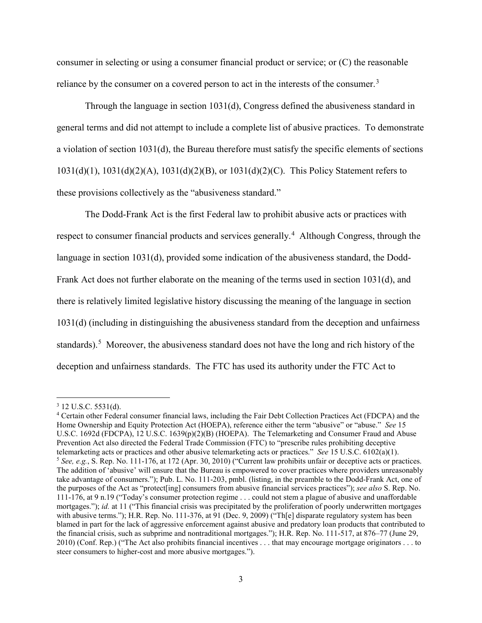consumer in selecting or using a consumer financial product or service; or (C) the reasonable reliance by the consumer on a covered person to act in the interests of the consumer.<sup>[3](#page-2-0)</sup>

Through the language in section 1031(d), Congress defined the abusiveness standard in general terms and did not attempt to include a complete list of abusive practices. To demonstrate a violation of section 1031(d), the Bureau therefore must satisfy the specific elements of sections 1031(d)(1), 1031(d)(2)(A), 1031(d)(2)(B), or 1031(d)(2)(C). This Policy Statement refers to these provisions collectively as the "abusiveness standard."

The Dodd-Frank Act is the first Federal law to prohibit abusive acts or practices with respect to consumer financial products and services generally.<sup>[4](#page-2-1)</sup> Although Congress, through the language in section 1031(d), provided some indication of the abusiveness standard, the Dodd-Frank Act does not further elaborate on the meaning of the terms used in section 1031(d), and there is relatively limited legislative history discussing the meaning of the language in section 1031(d) (including in distinguishing the abusiveness standard from the deception and unfairness standards).<sup>[5](#page-2-2)</sup> Moreover, the abusiveness standard does not have the long and rich history of the deception and unfairness standards. The FTC has used its authority under the FTC Act to

<span id="page-2-0"></span><sup>3</sup> 12 U.S.C. 5531(d).

<span id="page-2-2"></span><span id="page-2-1"></span><sup>4</sup> Certain other Federal consumer financial laws, including the Fair Debt Collection Practices Act (FDCPA) and the Home Ownership and Equity Protection Act (HOEPA), reference either the term "abusive" or "abuse." *See* 15 U.S.C. 1692d (FDCPA), 12 U.S.C. 1639(p)(2)(B) (HOEPA). The Telemarketing and Consumer Fraud and Abuse Prevention Act also directed the Federal Trade Commission (FTC) to "prescribe rules prohibiting deceptive telemarketing acts or practices and other abusive telemarketing acts or practices." *See* 15 U.S.C. 6102(a)(1). <sup>5</sup> See, e.g., S. Rep. No. 111-176, at 172 (Apr. 30, 2010) ("Current law prohibits unfair or deceptive acts or practices. The addition of 'abusive' will ensure that the Bureau is empowered to cover practices where providers unreasonably take advantage of consumers."); Pub. L. No. 111-203, pmbl. (listing, in the preamble to the Dodd-Frank Act, one of the purposes of the Act as "protect[ing] consumers from abusive financial services practices"); *see also* S. Rep. No. 111-176, at 9 n.19 ("Today's consumer protection regime . . . could not stem a plague of abusive and unaffordable mortgages."); *id.* at 11 ("This financial crisis was precipitated by the proliferation of poorly underwritten mortgages with abusive terms."); H.R. Rep. No. 111-376, at 91 (Dec. 9, 2009) ("Th[e] disparate regulatory system has been blamed in part for the lack of aggressive enforcement against abusive and predatory loan products that contributed to the financial crisis, such as subprime and nontraditional mortgages."); H.R. Rep. No. 111-517, at 876–77 (June 29, 2010) (Conf. Rep.) ("The Act also prohibits financial incentives . . . that may encourage mortgage originators . . . to steer consumers to higher-cost and more abusive mortgages.").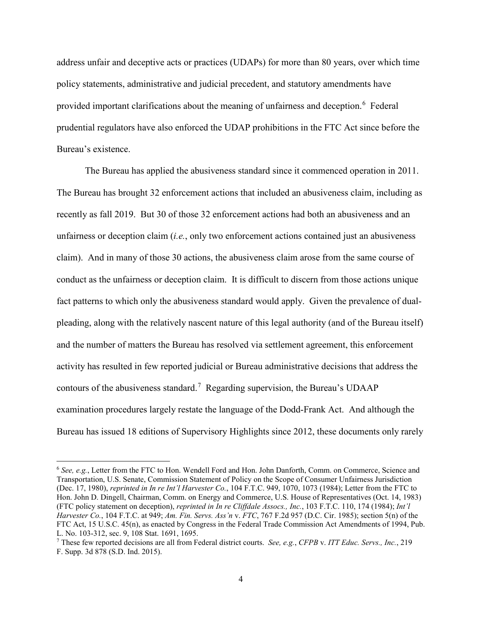address unfair and deceptive acts or practices (UDAPs) for more than 80 years, over which time policy statements, administrative and judicial precedent, and statutory amendments have provided important clarifications about the meaning of unfairness and deception.<sup>[6](#page-3-0)</sup> Federal prudential regulators have also enforced the UDAP prohibitions in the FTC Act since before the Bureau's existence.

The Bureau has applied the abusiveness standard since it commenced operation in 2011. The Bureau has brought 32 enforcement actions that included an abusiveness claim, including as recently as fall 2019. But 30 of those 32 enforcement actions had both an abusiveness and an unfairness or deception claim (*i.e.*, only two enforcement actions contained just an abusiveness claim). And in many of those 30 actions, the abusiveness claim arose from the same course of conduct as the unfairness or deception claim. It is difficult to discern from those actions unique fact patterns to which only the abusiveness standard would apply. Given the prevalence of dualpleading, along with the relatively nascent nature of this legal authority (and of the Bureau itself) and the number of matters the Bureau has resolved via settlement agreement, this enforcement activity has resulted in few reported judicial or Bureau administrative decisions that address the contours of the abusiveness standard.<sup>[7](#page-3-1)</sup> Regarding supervision, the Bureau's UDAAP examination procedures largely restate the language of the Dodd-Frank Act. And although the Bureau has issued 18 editions of Supervisory Highlights since 2012, these documents only rarely

<span id="page-3-0"></span><sup>6</sup> *See, e.g.*, Letter from the FTC to Hon. Wendell Ford and Hon. John Danforth, Comm. on Commerce, Science and Transportation, U.S. Senate, Commission Statement of Policy on the Scope of Consumer Unfairness Jurisdiction (Dec. 17, 1980), *reprinted in In re Int'l Harvester Co.*, 104 F.T.C. 949, 1070, 1073 (1984); Letter from the FTC to Hon. John D. Dingell, Chairman, Comm. on Energy and Commerce, U.S. House of Representatives (Oct. 14, 1983) (FTC policy statement on deception), *reprinted in In re Cliffdale Assocs., Inc.*, 103 F.T.C. 110, 174 (1984); *Int'l Harvester Co.*, 104 F.T.C. at 949; *Am. Fin. Servs. Ass'n* v. *FTC*, 767 F.2d 957 (D.C. Cir. 1985); section 5(n) of the FTC Act, 15 U.S.C. 45(n), as enacted by Congress in the Federal Trade Commission Act Amendments of 1994, Pub. L. No. 103-312, sec. 9, 108 Stat. 1691, 1695.

<span id="page-3-1"></span><sup>7</sup> These few reported decisions are all from Federal district courts. *See, e.g.*, *CFPB* v. *ITT Educ. Servs., Inc.*, 219 F. Supp. 3d 878 (S.D. Ind. 2015).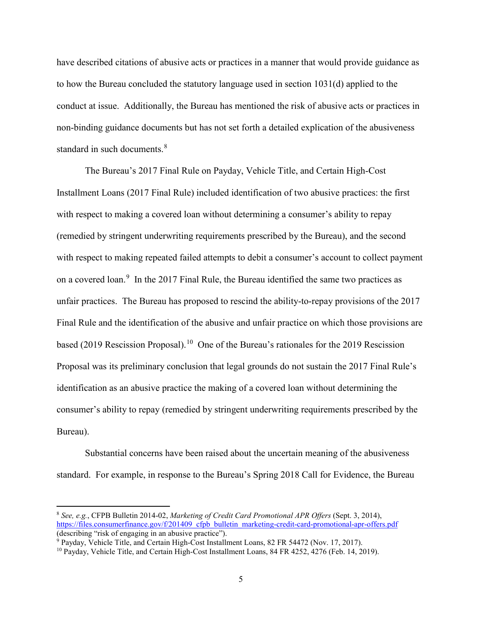have described citations of abusive acts or practices in a manner that would provide guidance as to how the Bureau concluded the statutory language used in section 1031(d) applied to the conduct at issue. Additionally, the Bureau has mentioned the risk of abusive acts or practices in non-binding guidance documents but has not set forth a detailed explication of the abusiveness standard in such documents. [8](#page-4-0)

The Bureau's 2017 Final Rule on Payday, Vehicle Title, and Certain High-Cost Installment Loans (2017 Final Rule) included identification of two abusive practices: the first with respect to making a covered loan without determining a consumer's ability to repay (remedied by stringent underwriting requirements prescribed by the Bureau), and the second with respect to making repeated failed attempts to debit a consumer's account to collect payment on a covered loan.<sup>[9](#page-4-1)</sup> In the 2017 Final Rule, the Bureau identified the same two practices as unfair practices. The Bureau has proposed to rescind the ability-to-repay provisions of the 2017 Final Rule and the identification of the abusive and unfair practice on which those provisions are based (2019 Rescission Proposal).<sup>[10](#page-4-2)</sup> One of the Bureau's rationales for the 2019 Rescission Proposal was its preliminary conclusion that legal grounds do not sustain the 2017 Final Rule's identification as an abusive practice the making of a covered loan without determining the consumer's ability to repay (remedied by stringent underwriting requirements prescribed by the Bureau).

Substantial concerns have been raised about the uncertain meaning of the abusiveness standard. For example, in response to the Bureau's Spring 2018 Call for Evidence, the Bureau

<span id="page-4-0"></span><sup>8</sup> *See, e.g.*, CFPB Bulletin 2014-02, *Marketing of Credit Card Promotional APR Offers* (Sept. 3, 2014), [https://files.consumerfinance.gov/f/201409\\_cfpb\\_bulletin\\_marketing-credit-card-promotional-apr-offers.pdf](https://files.consumerfinance.gov/f/201409_cfpb_bulletin_marketing-credit-card-promotional-apr-offers.pdf) (describing "risk of engaging in an abusive practice").

<span id="page-4-2"></span><span id="page-4-1"></span><sup>9</sup> Payday, Vehicle Title, and Certain High-Cost Installment Loans, 82 FR 54472 (Nov. 17, 2017). <sup>10</sup> Payday, Vehicle Title, and Certain High-Cost Installment Loans, 84 FR 4252, 4276 (Feb. 14, 2019).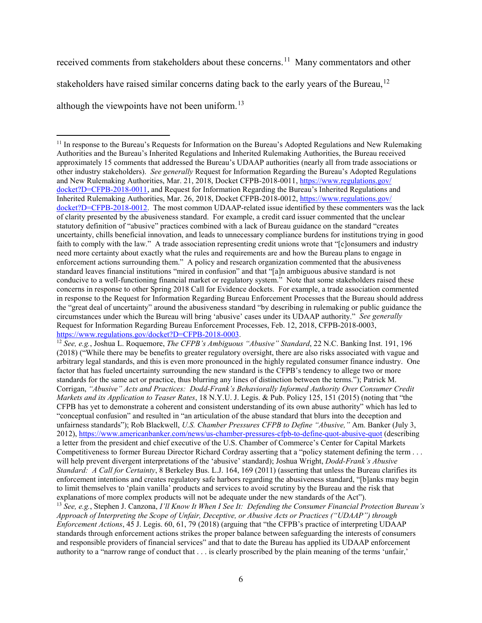received comments from stakeholders about these concerns.<sup>[11](#page-5-0)</sup> Many commentators and other stakeholders have raised similar concerns dating back to the early years of the Bureau,<sup>[12](#page-5-1)</sup> although the viewpoints have not been uniform.<sup>[13](#page-5-2)</sup>

 $\overline{\phantom{a}}$ 

<span id="page-5-1"></span><sup>12</sup> *See, e.g.*, Joshua L. Roquemore, *The CFPB's Ambiguous "Abusive" Standard*, 22 N.C. Banking Inst. 191, 196 (2018) ("While there may be benefits to greater regulatory oversight, there are also risks associated with vague and arbitrary legal standards, and this is even more pronounced in the highly regulated consumer finance industry. One factor that has fueled uncertainty surrounding the new standard is the CFPB's tendency to allege two or more standards for the same act or practice, thus blurring any lines of distinction between the terms."); Patrick M. Corrigan, *"Abusive" Acts and Practices: Dodd-Frank's Behaviorally Informed Authority Over Consumer Credit Markets and its Application to Teaser Rates*, 18 N.Y.U. J. Legis. & Pub. Policy 125, 151 (2015) (noting that "the CFPB has yet to demonstrate a coherent and consistent understanding of its own abuse authority" which has led to "conceptual confusion" and resulted in "an articulation of the abuse standard that blurs into the deception and unfairness standards"); Rob Blackwell, *U.S. Chamber Pressures CFPB to Define "Abusive,"* Am. Banker (July 3, 2012), [https://www.americanbanker.com/news/us-chamber-pressures-cfpb-to-define-quot-abusive-quot](https://www.americanbanker.com/%E2%80%8Cnews/%E2%80%8Cus-chamber-pressures-cfpb-to-define-quot-abusive-quot) (describing a letter from the president and chief executive of the U.S. Chamber of Commerce's Center for Capital Markets Competitiveness to former Bureau Director Richard Cordray asserting that a "policy statement defining the term . . . will help prevent divergent interpretations of the 'abusive' standard); Joshua Wright, *Dodd-Frank's Abusive Standard: A Call for Certainty*, 8 Berkeley Bus. L.J. 164, 169 (2011) (asserting that unless the Bureau clarifies its enforcement intentions and creates regulatory safe harbors regarding the abusiveness standard, "[b]anks may begin to limit themselves to 'plain vanilla' products and services to avoid scrutiny by the Bureau and the risk that explanations of more complex products will not be adequate under the new standards of the Act").<br><sup>13</sup> See, e.g., Stephen J. Canzona, *I'll Know It When I See It: Defending the Consumer Financial Protection Bureau's* 

<span id="page-5-2"></span>*Approach of Interpreting the Scope of Unfair, Deceptive, or Abusive Acts or Practices ("UDAAP") through Enforcement Actions*, 45 J. Legis. 60, 61, 79 (2018) (arguing that "the CFPB's practice of interpreting UDAAP standards through enforcement actions strikes the proper balance between safeguarding the interests of consumers and responsible providers of financial services" and that to date the Bureau has applied its UDAAP enforcement authority to a "narrow range of conduct that . . . is clearly proscribed by the plain meaning of the terms 'unfair,'

<span id="page-5-0"></span><sup>&</sup>lt;sup>11</sup> In response to the Bureau's Requests for Information on the Bureau's Adopted Regulations and New Rulemaking Authorities and the Bureau's Inherited Regulations and Inherited Rulemaking Authorities, the Bureau received approximately 15 comments that addressed the Bureau's UDAAP authorities (nearly all from trade associations or other industry stakeholders). *See generally* Request for Information Regarding the Bureau's Adopted Regulations and New Rulemaking Authorities, Mar. 21, 2018, Docket CFPB-2018-0011, [https://www.regulations.gov/](https://www.regulations.gov/docket?D=CFPB-2018-0011) [docket?D=CFPB-2018-0011,](https://www.regulations.gov/docket?D=CFPB-2018-0011) and Request for Information Regarding the Bureau's Inherited Regulations and Inherited Rulemaking Authorities, Mar. 26, 2018, Docket CFPB-2018-0012, [https://www.regulations.gov/](https://www.regulations.gov/docket?D=CFPB-2018-0012) [docket?D=CFPB-2018-0012.](https://www.regulations.gov/docket?D=CFPB-2018-0012) The most common UDAAP-related issue identified by these commenters was the lack of clarity presented by the abusiveness standard. For example, a credit card issuer commented that the unclear statutory definition of "abusive" practices combined with a lack of Bureau guidance on the standard "creates uncertainty, chills beneficial innovation, and leads to unnecessary compliance burdens for institutions trying in good faith to comply with the law." A trade association representing credit unions wrote that "[c]onsumers and industry need more certainty about exactly what the rules and requirements are and how the Bureau plans to engage in enforcement actions surrounding them." A policy and research organization commented that the abusiveness standard leaves financial institutions "mired in confusion" and that "[a]n ambiguous abusive standard is not conducive to a well-functioning financial market or regulatory system." Note that some stakeholders raised these concerns in response to other Spring 2018 Call for Evidence dockets. For example, a trade association commented in response to the Request for Information Regarding Bureau Enforcement Processes that the Bureau should address the "great deal of uncertainty" around the abusiveness standard "by describing in rulemaking or public guidance the circumstances under which the Bureau will bring 'abusive' cases under its UDAAP authority." *See generally* Request for Information Regarding Bureau Enforcement Processes, Feb. 12, 2018, CFPB-2018-0003, [https://www.regulations.gov/docket?D=CFPB-2018-0003.](https://www.regulations.gov/docket?D=CFPB-2018-0003)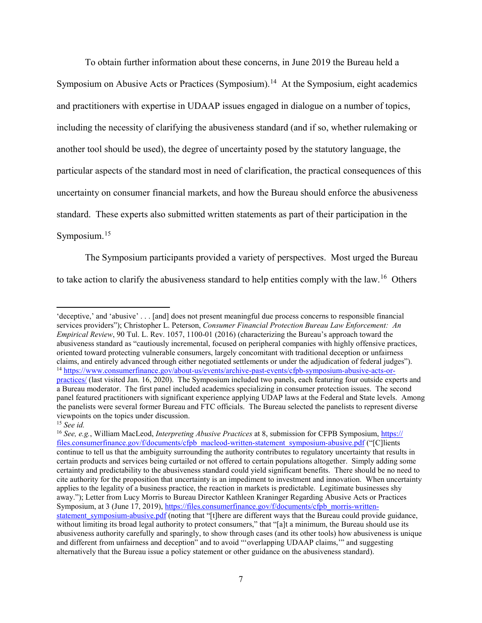To obtain further information about these concerns, in June 2019 the Bureau held a Symposium on Abusive Acts or Practices (Symposium).<sup>14</sup> At the Symposium, eight academics and practitioners with expertise in UDAAP issues engaged in dialogue on a number of topics, including the necessity of clarifying the abusiveness standard (and if so, whether rulemaking or another tool should be used), the degree of uncertainty posed by the statutory language, the particular aspects of the standard most in need of clarification, the practical consequences of this uncertainty on consumer financial markets, and how the Bureau should enforce the abusiveness standard. These experts also submitted written statements as part of their participation in the Symposium.<sup>[15](#page-6-1)</sup>

The Symposium participants provided a variety of perspectives. Most urged the Bureau to take action to clarify the abusiveness standard to help entities comply with the law.<sup>16</sup> Others

<span id="page-6-0"></span><sup>&#</sup>x27;deceptive,' and 'abusive' . . . [and] does not present meaningful due process concerns to responsible financial services providers"); Christopher L. Peterson, *Consumer Financial Protection Bureau Law Enforcement: An Empirical Review*, 90 Tul. L. Rev. 1057, 1100-01 (2016) (characterizing the Bureau's approach toward the abusiveness standard as "cautiously incremental, focused on peripheral companies with highly offensive practices, oriented toward protecting vulnerable consumers, largely concomitant with traditional deception or unfairness claims, and entirely advanced through either negotiated settlements or under the adjudication of federal judges"). <sup>14</sup> [https://www.consumerfinance.gov/about-us/events/archive-past-events/cfpb-symposium-abusive-acts-or](https://www.consumerfinance.gov/about-us/events/archive-past-events/cfpb-symposium-abusive-acts-or-practices/)[practices/](https://www.consumerfinance.gov/about-us/events/archive-past-events/cfpb-symposium-abusive-acts-or-practices/) (last visited Jan. 16, 2020). The Symposium included two panels, each featuring four outside experts and a Bureau moderator. The first panel included academics specializing in consumer protection issues. The second panel featured practitioners with significant experience applying UDAP laws at the Federal and State levels. Among the panelists were several former Bureau and FTC officials. The Bureau selected the panelists to represent diverse viewpoints on the topics under discussion. 15 *See id.*

<span id="page-6-1"></span>

<span id="page-6-2"></span><sup>16</sup> *See, e.g.*, William MacLeod, *Interpreting Abusive Practices* at 8, submission for CFPB Symposium, [https://](https://files.consumerfinance.gov/f/documents/cfpb_macleod-written-statement_symposium-abusive.pdf) [files.consumerfinance.gov/f/documents/cfpb\\_macleod-written-statement\\_symposium-abusive.pdf](https://files.consumerfinance.gov/f/documents/cfpb_macleod-written-statement_symposium-abusive.pdf) ("[C]lients continue to tell us that the ambiguity surrounding the authority contributes to regulatory uncertainty that results in certain products and services being curtailed or not offered to certain populations altogether. Simply adding some certainty and predictability to the abusiveness standard could yield significant benefits. There should be no need to cite authority for the proposition that uncertainty is an impediment to investment and innovation. When uncertainty applies to the legality of a business practice, the reaction in markets is predictable. Legitimate businesses shy away."); Letter from Lucy Morris to Bureau Director Kathleen Kraninger Regarding Abusive Acts or Practices Symposium, at 3 (June 17, 2019)[, https://files.consumerfinance.gov/f/documents/cfpb\\_morris-written](https://files.consumerfinance.gov/f/documents/cfpb_morris-written-statement_symposium-abusive.pdf)[statement\\_symposium-abusive.pdf](https://files.consumerfinance.gov/f/documents/cfpb_morris-written-statement_symposium-abusive.pdf) (noting that "[t]here are different ways that the Bureau could provide guidance, without limiting its broad legal authority to protect consumers," that "[a]t a minimum, the Bureau should use its abusiveness authority carefully and sparingly, to show through cases (and its other tools) how abusiveness is unique and different from unfairness and deception" and to avoid "'overlapping UDAAP claims,'" and suggesting alternatively that the Bureau issue a policy statement or other guidance on the abusiveness standard).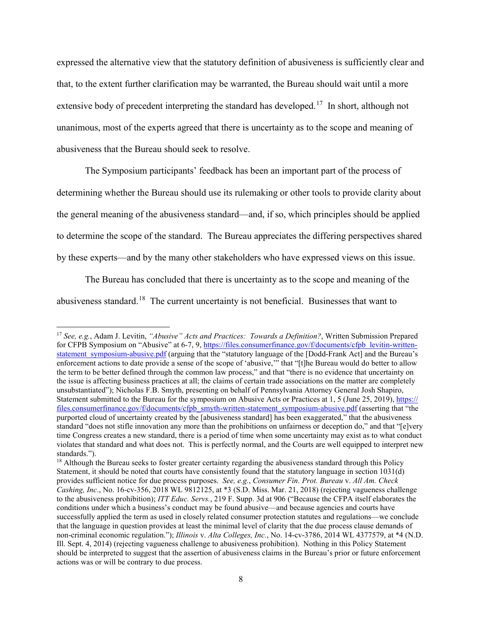expressed the alternative view that the statutory definition of abusiveness is sufficiently clear and that, to the extent further clarification may be warranted, the Bureau should wait until a more extensive body of precedent interpreting the standard has developed.<sup>[17](#page-7-0)</sup> In short, although not unanimous, most of the experts agreed that there is uncertainty as to the scope and meaning of abusiveness that the Bureau should seek to resolve.

The Symposium participants' feedback has been an important part of the process of determining whether the Bureau should use its rulemaking or other tools to provide clarity about the general meaning of the abusiveness standard—and, if so, which principles should be applied to determine the scope of the standard. The Bureau appreciates the differing perspectives shared by these experts—and by the many other stakeholders who have expressed views on this issue.

The Bureau has concluded that there is uncertainty as to the scope and meaning of the abusiveness standard.<sup>18</sup> The current uncertainty is not beneficial. Businesses that want to

<span id="page-7-0"></span><sup>17</sup> *See, e.g.*, Adam J. Levitin, *"Abusive" Acts and Practices: Towards a Definition?*, Written Submission Prepared for CFPB Symposium on "Abusive" at 6-7, 9[, https://files.consumerfinance.gov/f/documents/cfpb\\_levitin-written](https://files.consumerfinance.gov/%E2%80%8Cf/%E2%80%8Cdocuments/cfpb_levitin-written-statement_symposium-abusive.pdf)[statement\\_symposium-abusive.pdf](https://files.consumerfinance.gov/%E2%80%8Cf/%E2%80%8Cdocuments/cfpb_levitin-written-statement_symposium-abusive.pdf) (arguing that the "statutory language of the [Dodd-Frank Act] and the Bureau's enforcement actions to date provide a sense of the scope of 'abusive,'" that "[t]he Bureau would do better to allow the term to be better defined through the common law process," and that "there is no evidence that uncertainty on the issue is affecting business practices at all; the claims of certain trade associations on the matter are completely unsubstantiated"); Nicholas F.B. Smyth, presenting on behalf of Pennsylvania Attorney General Josh Shapiro, Statement submitted to the Bureau for the symposium on Abusive Acts or Practices at 1, 5 (June 25, 2019)[, https://](https://files.consumerfinance.gov/f/documents/cfpb_smyth-written-statement_symposium-abusive.pdf) [files.consumerfinance.gov/f/documents/cfpb\\_smyth-written-statement\\_symposium-abusive.pdf](https://files.consumerfinance.gov/f/documents/cfpb_smyth-written-statement_symposium-abusive.pdf) (asserting that "the purported cloud of uncertainty created by the [abusiveness standard] has been exaggerated," that the abusiveness standard "does not stifle innovation any more than the prohibitions on unfairness or deception do," and that "[e]very time Congress creates a new standard, there is a period of time when some uncertainty may exist as to what conduct violates that standard and what does not. This is perfectly normal, and the Courts are well equipped to interpret new standards.").<br><sup>18</sup> Although the Bureau seeks to foster greater certainty regarding the abusiveness standard through this Policy

<span id="page-7-1"></span>Statement, it should be noted that courts have consistently found that the statutory language in section 1031(d) provides sufficient notice for due process purposes. *See, e.g.*, *Consumer Fin. Prot. Bureau* v. *All Am. Check Cashing, Inc*., No. 16-cv-356, 2018 WL 9812125, at \*3 (S.D. Miss. Mar. 21, 2018) (rejecting vagueness challenge to the abusiveness prohibition); *ITT Educ. Servs.*, 219 F. Supp. 3d at 906 ("Because the CFPA itself elaborates the conditions under which a business's conduct may be found abusive—and because agencies and courts have successfully applied the term as used in closely related consumer protection statutes and regulations—we conclude that the language in question provides at least the minimal level of clarity that the due process clause demands of non-criminal economic regulation."); *Illinois* v. *Alta Colleges, Inc.*, No. 14-cv-3786, 2014 WL 4377579, at \*4 (N.D. Ill. Sept. 4, 2014) (rejecting vagueness challenge to abusiveness prohibition). Nothing in this Policy Statement should be interpreted to suggest that the assertion of abusiveness claims in the Bureau's prior or future enforcement actions was or will be contrary to due process.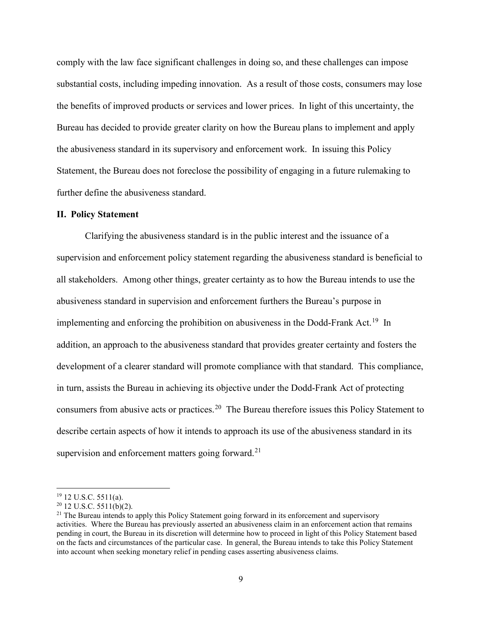comply with the law face significant challenges in doing so, and these challenges can impose substantial costs, including impeding innovation. As a result of those costs, consumers may lose the benefits of improved products or services and lower prices. In light of this uncertainty, the Bureau has decided to provide greater clarity on how the Bureau plans to implement and apply the abusiveness standard in its supervisory and enforcement work. In issuing this Policy Statement, the Bureau does not foreclose the possibility of engaging in a future rulemaking to further define the abusiveness standard.

# **II. Policy Statement**

Clarifying the abusiveness standard is in the public interest and the issuance of a supervision and enforcement policy statement regarding the abusiveness standard is beneficial to all stakeholders. Among other things, greater certainty as to how the Bureau intends to use the abusiveness standard in supervision and enforcement furthers the Bureau's purpose in implementing and enforcing the prohibition on abusiveness in the Dodd-Frank Act.<sup>19</sup> In addition, an approach to the abusiveness standard that provides greater certainty and fosters the development of a clearer standard will promote compliance with that standard. This compliance, in turn, assists the Bureau in achieving its objective under the Dodd-Frank Act of protecting consumers from abusive acts or practices.<sup>[20](#page-8-1)</sup> The Bureau therefore issues this Policy Statement to describe certain aspects of how it intends to approach its use of the abusiveness standard in its supervision and enforcement matters going forward.<sup>[21](#page-8-2)</sup>

<span id="page-8-2"></span>

<span id="page-8-1"></span><span id="page-8-0"></span><sup>&</sup>lt;sup>19</sup> 12 U.S.C. 5511(a).<br><sup>20</sup> 12 U.S.C. 5511(b)(2).<br><sup>21</sup> The Bureau intends to apply this Policy Statement going forward in its enforcement and supervisory activities. Where the Bureau has previously asserted an abusiveness claim in an enforcement action that remains pending in court, the Bureau in its discretion will determine how to proceed in light of this Policy Statement based on the facts and circumstances of the particular case. In general, the Bureau intends to take this Policy Statement into account when seeking monetary relief in pending cases asserting abusiveness claims.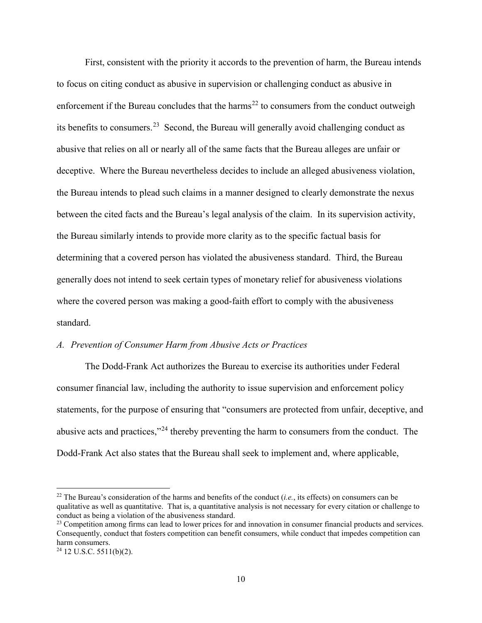First, consistent with the priority it accords to the prevention of harm, the Bureau intends to focus on citing conduct as abusive in supervision or challenging conduct as abusive in enforcement if the Bureau concludes that the harms<sup>[22](#page-9-0)</sup> to consumers from the conduct outweigh its benefits to consumers.<sup>23</sup> Second, the Bureau will generally avoid challenging conduct as abusive that relies on all or nearly all of the same facts that the Bureau alleges are unfair or deceptive. Where the Bureau nevertheless decides to include an alleged abusiveness violation, the Bureau intends to plead such claims in a manner designed to clearly demonstrate the nexus between the cited facts and the Bureau's legal analysis of the claim. In its supervision activity, the Bureau similarly intends to provide more clarity as to the specific factual basis for determining that a covered person has violated the abusiveness standard. Third, the Bureau generally does not intend to seek certain types of monetary relief for abusiveness violations where the covered person was making a good-faith effort to comply with the abusiveness standard.

### *A. Prevention of Consumer Harm from Abusive Acts or Practices*

The Dodd-Frank Act authorizes the Bureau to exercise its authorities under Federal consumer financial law, including the authority to issue supervision and enforcement policy statements, for the purpose of ensuring that "consumers are protected from unfair, deceptive, and abusive acts and practices,"[24](#page-9-2) thereby preventing the harm to consumers from the conduct. The Dodd-Frank Act also states that the Bureau shall seek to implement and, where applicable,

<span id="page-9-0"></span><sup>22</sup> The Bureau's consideration of the harms and benefits of the conduct (*i.e.*, its effects) on consumers can be qualitative as well as quantitative. That is, a quantitative analysis is not necessary for every citation or challenge to conduct as being a violation of the abusiveness standard.<br><sup>23</sup> Competition among firms can lead to lower prices for and innovation in consumer financial products and services.

<span id="page-9-1"></span>Consequently, conduct that fosters competition can benefit consumers, while conduct that impedes competition can

<span id="page-9-2"></span> $24$  12 U.S.C. 5511(b)(2).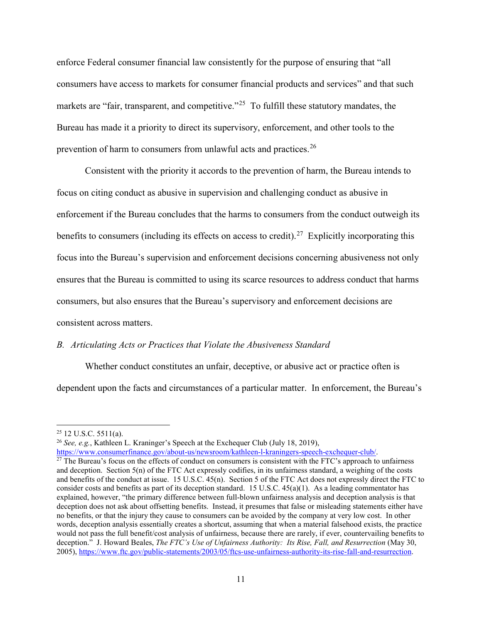enforce Federal consumer financial law consistently for the purpose of ensuring that "all consumers have access to markets for consumer financial products and services" and that such markets are "fair, transparent, and competitive."<sup>[25](#page-10-0)</sup> To fulfill these statutory mandates, the Bureau has made it a priority to direct its supervisory, enforcement, and other tools to the prevention of harm to consumers from unlawful acts and practices.<sup>[26](#page-10-1)</sup>

Consistent with the priority it accords to the prevention of harm, the Bureau intends to focus on citing conduct as abusive in supervision and challenging conduct as abusive in enforcement if the Bureau concludes that the harms to consumers from the conduct outweigh its benefits to consumers (including its effects on access to credit).<sup>[27](#page-10-2)</sup> Explicitly incorporating this focus into the Bureau's supervision and enforcement decisions concerning abusiveness not only ensures that the Bureau is committed to using its scarce resources to address conduct that harms consumers, but also ensures that the Bureau's supervisory and enforcement decisions are consistent across matters.

### *B. Articulating Acts or Practices that Violate the Abusiveness Standard*

Whether conduct constitutes an unfair, deceptive, or abusive act or practice often is dependent upon the facts and circumstances of a particular matter. In enforcement, the Bureau's

 $\overline{a}$ 

<span id="page-10-0"></span><sup>&</sup>lt;sup>25</sup> 12 U.S.C. 5511(a).<br><sup>26</sup> *See, e.g.*, Kathleen L. Kraninger's Speech at the Exchequer Club (July 18, 2019),

<span id="page-10-2"></span><span id="page-10-1"></span>[https://www.consumerfinance.gov/about-us/newsroom/kathleen-l-kraningers-speech-exchequer-club/.](https://www.consumerfinance.gov/about-us/newsroom/kathleen-l-kraningers-speech-exchequer-club/)<br><sup>27</sup> The Bureau's focus on the effects of conduct on consumers is consistent with the FTC's approach to unfairness and deception. Section 5(n) of the FTC Act expressly codifies, in its unfairness standard, a weighing of the costs and benefits of the conduct at issue. 15 U.S.C. 45(n). Section 5 of the FTC Act does not expressly direct the FTC to consider costs and benefits as part of its deception standard. 15 U.S.C. 45(a)(1). As a leading commentator has explained, however, "the primary difference between full-blown unfairness analysis and deception analysis is that deception does not ask about offsetting benefits. Instead, it presumes that false or misleading statements either have no benefits, or that the injury they cause to consumers can be avoided by the company at very low cost. In other words, deception analysis essentially creates a shortcut, assuming that when a material falsehood exists, the practice would not pass the full benefit/cost analysis of unfairness, because there are rarely, if ever, countervailing benefits to deception." J. Howard Beales, *The FTC's Use of Unfairness Authority: Its Rise, Fall, and Resurrection* (May 30, 2005), [https://www.ftc.gov/public-statements/2003/05/ftcs-use-unfairness-authority-its-rise-fall-and-resurrection.](https://www.ftc.gov/public-statements/2003/05/ftcs-use-unfairness-authority-its-rise-fall-and-resurrection)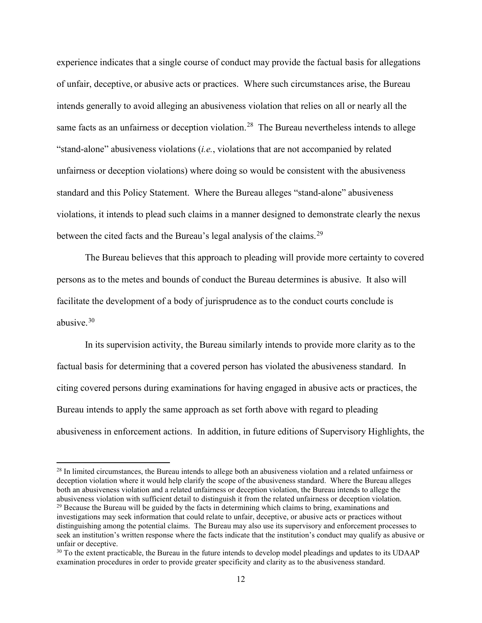experience indicates that a single course of conduct may provide the factual basis for allegations of unfair, deceptive, or abusive acts or practices. Where such circumstances arise, the Bureau intends generally to avoid alleging an abusiveness violation that relies on all or nearly all the same facts as an unfairness or deception violation.<sup>28</sup> The Bureau nevertheless intends to allege "stand-alone" abusiveness violations (*i.e.*, violations that are not accompanied by related unfairness or deception violations) where doing so would be consistent with the abusiveness standard and this Policy Statement. Where the Bureau alleges "stand-alone" abusiveness violations, it intends to plead such claims in a manner designed to demonstrate clearly the nexus between the cited facts and the Bureau's legal analysis of the claims.<sup>29</sup>

The Bureau believes that this approach to pleading will provide more certainty to covered persons as to the metes and bounds of conduct the Bureau determines is abusive. It also will facilitate the development of a body of jurisprudence as to the conduct courts conclude is abusiye. $30$ 

In its supervision activity, the Bureau similarly intends to provide more clarity as to the factual basis for determining that a covered person has violated the abusiveness standard. In citing covered persons during examinations for having engaged in abusive acts or practices, the Bureau intends to apply the same approach as set forth above with regard to pleading abusiveness in enforcement actions. In addition, in future editions of Supervisory Highlights, the

<span id="page-11-1"></span><span id="page-11-0"></span> $28$  In limited circumstances, the Bureau intends to allege both an abusiveness violation and a related unfairness or deception violation where it would help clarify the scope of the abusiveness standard. Where the Bureau alleges both an abusiveness violation and a related unfairness or deception violation, the Bureau intends to allege the abusiveness violation with sufficient detail to distinguish it from the related unfairness or deception violation.  $29$  Because the Bureau will be guided by the facts in determining which claims to bring, examinations and investigations may seek information that could relate to unfair, deceptive, or abusive acts or practices without distinguishing among the potential claims. The Bureau may also use its supervisory and enforcement processes to seek an institution's written response where the facts indicate that the institution's conduct may qualify as abusive or unfair or deceptive.

<span id="page-11-2"></span><sup>&</sup>lt;sup>30</sup> To the extent practicable, the Bureau in the future intends to develop model pleadings and updates to its UDAAP examination procedures in order to provide greater specificity and clarity as to the abusiveness standard.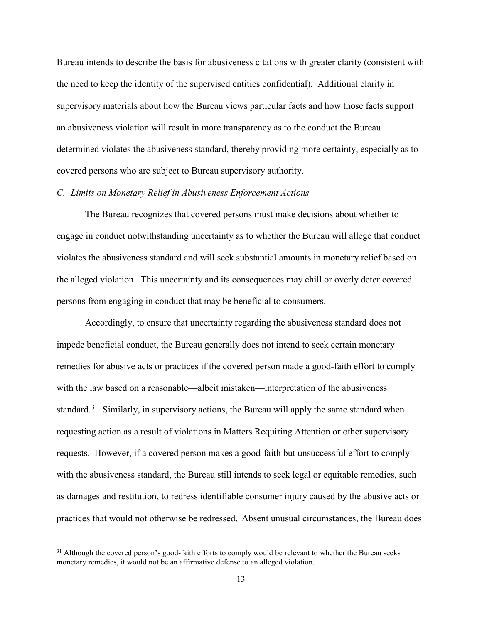Bureau intends to describe the basis for abusiveness citations with greater clarity (consistent with the need to keep the identity of the supervised entities confidential). Additional clarity in supervisory materials about how the Bureau views particular facts and how those facts support an abusiveness violation will result in more transparency as to the conduct the Bureau determined violates the abusiveness standard, thereby providing more certainty, especially as to covered persons who are subject to Bureau supervisory authority.

## *C. Limits on Monetary Relief in Abusiveness Enforcement Actions*

The Bureau recognizes that covered persons must make decisions about whether to engage in conduct notwithstanding uncertainty as to whether the Bureau will allege that conduct violates the abusiveness standard and will seek substantial amounts in monetary relief based on the alleged violation. This uncertainty and its consequences may chill or overly deter covered persons from engaging in conduct that may be beneficial to consumers.

Accordingly, to ensure that uncertainty regarding the abusiveness standard does not impede beneficial conduct, the Bureau generally does not intend to seek certain monetary remedies for abusive acts or practices if the covered person made a good-faith effort to comply with the law based on a reasonable—albeit mistaken—interpretation of the abusiveness standard.<sup>[31](#page-12-0)</sup> Similarly, in supervisory actions, the Bureau will apply the same standard when requesting action as a result of violations in Matters Requiring Attention or other supervisory requests. However, if a covered person makes a good-faith but unsuccessful effort to comply with the abusiveness standard, the Bureau still intends to seek legal or equitable remedies, such as damages and restitution, to redress identifiable consumer injury caused by the abusive acts or practices that would not otherwise be redressed. Absent unusual circumstances, the Bureau does

<span id="page-12-0"></span><sup>&</sup>lt;sup>31</sup> Although the covered person's good-faith efforts to comply would be relevant to whether the Bureau seeks monetary remedies, it would not be an affirmative defense to an alleged violation.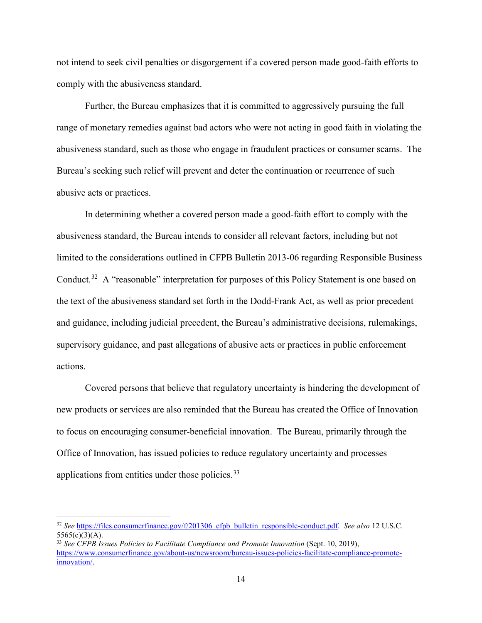not intend to seek civil penalties or disgorgement if a covered person made good-faith efforts to comply with the abusiveness standard.

Further, the Bureau emphasizes that it is committed to aggressively pursuing the full range of monetary remedies against bad actors who were not acting in good faith in violating the abusiveness standard, such as those who engage in fraudulent practices or consumer scams. The Bureau's seeking such relief will prevent and deter the continuation or recurrence of such abusive acts or practices.

In determining whether a covered person made a good-faith effort to comply with the abusiveness standard, the Bureau intends to consider all relevant factors, including but not limited to the considerations outlined in CFPB Bulletin 2013-06 regarding Responsible Business Conduct.<sup>[32](#page-13-0)</sup> A "reasonable" interpretation for purposes of this Policy Statement is one based on the text of the abusiveness standard set forth in the Dodd-Frank Act, as well as prior precedent and guidance, including judicial precedent, the Bureau's administrative decisions, rulemakings, supervisory guidance, and past allegations of abusive acts or practices in public enforcement actions.

Covered persons that believe that regulatory uncertainty is hindering the development of new products or services are also reminded that the Bureau has created the Office of Innovation to focus on encouraging consumer-beneficial innovation. The Bureau, primarily through the Office of Innovation, has issued policies to reduce regulatory uncertainty and processes applications from entities under those policies.<sup>[33](#page-13-1)</sup>

<span id="page-13-0"></span><sup>&</sup>lt;sup>32</sup> See https://files.consumerfinance.gov/f/201306 cfpb bulletin responsible-conduct.pdf. *See also* 12 U.S.C.  $5565(c)(3)(A).$ 

<span id="page-13-1"></span><sup>33</sup> *See CFPB Issues Policies to Facilitate Compliance and Promote Innovation* (Sept. 10, 2019), [https://www.consumerfinance.gov/about-us/newsroom/bureau-issues-policies-facilitate-compliance-promote](https://www.consumerfinance.gov/about-us/newsroom/bureau-issues-policies-facilitate-compliance-promote-innovation/)[innovation/.](https://www.consumerfinance.gov/about-us/newsroom/bureau-issues-policies-facilitate-compliance-promote-innovation/)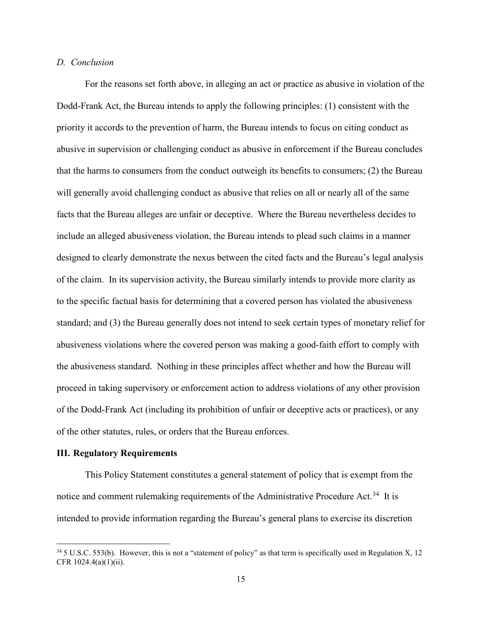## *D. Conclusion*

For the reasons set forth above, in alleging an act or practice as abusive in violation of the Dodd-Frank Act, the Bureau intends to apply the following principles: (1) consistent with the priority it accords to the prevention of harm, the Bureau intends to focus on citing conduct as abusive in supervision or challenging conduct as abusive in enforcement if the Bureau concludes that the harms to consumers from the conduct outweigh its benefits to consumers; (2) the Bureau will generally avoid challenging conduct as abusive that relies on all or nearly all of the same facts that the Bureau alleges are unfair or deceptive. Where the Bureau nevertheless decides to include an alleged abusiveness violation, the Bureau intends to plead such claims in a manner designed to clearly demonstrate the nexus between the cited facts and the Bureau's legal analysis of the claim. In its supervision activity, the Bureau similarly intends to provide more clarity as to the specific factual basis for determining that a covered person has violated the abusiveness standard; and (3) the Bureau generally does not intend to seek certain types of monetary relief for abusiveness violations where the covered person was making a good-faith effort to comply with the abusiveness standard. Nothing in these principles affect whether and how the Bureau will proceed in taking supervisory or enforcement action to address violations of any other provision of the Dodd-Frank Act (including its prohibition of unfair or deceptive acts or practices), or any of the other statutes, rules, or orders that the Bureau enforces.

#### **III. Regulatory Requirements**

l

This Policy Statement constitutes a general statement of policy that is exempt from the notice and comment rulemaking requirements of the Administrative Procedure Act.<sup>[34](#page-14-0)</sup> It is intended to provide information regarding the Bureau's general plans to exercise its discretion

<span id="page-14-0"></span> $34\,5$  U.S.C. 553(b). However, this is not a "statement of policy" as that term is specifically used in Regulation X, 12 CFR 1024.4(a)(1)(ii).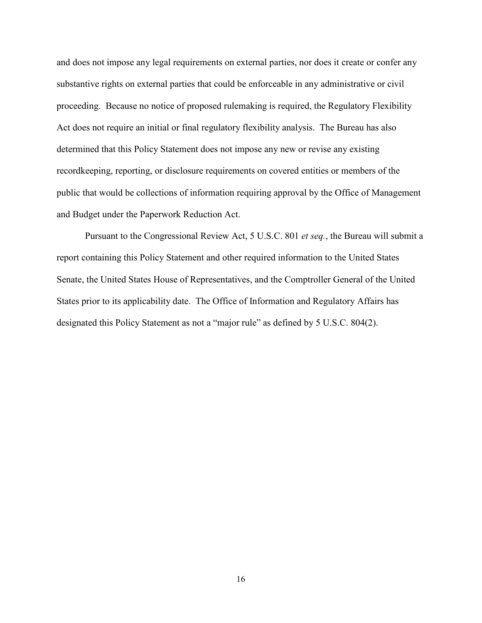and does not impose any legal requirements on external parties, nor does it create or confer any substantive rights on external parties that could be enforceable in any administrative or civil proceeding. Because no notice of proposed rulemaking is required, the Regulatory Flexibility Act does not require an initial or final regulatory flexibility analysis. The Bureau has also determined that this Policy Statement does not impose any new or revise any existing recordkeeping, reporting, or disclosure requirements on covered entities or members of the public that would be collections of information requiring approval by the Office of Management and Budget under the Paperwork Reduction Act.

Pursuant to the Congressional Review Act, 5 U.S.C. 801 *et seq.*, the Bureau will submit a report containing this Policy Statement and other required information to the United States Senate, the United States House of Representatives, and the Comptroller General of the United States prior to its applicability date. The Office of Information and Regulatory Affairs has designated this Policy Statement as not a "major rule" as defined by 5 U.S.C. 804(2).